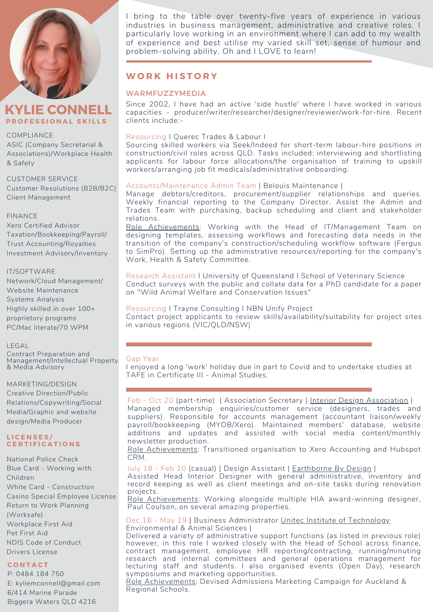



## COMPLIANCE

ASIC (Company Secretarial & Associations)/Workplace Health & Safety

CUSTOMER SERVICE Customer Resolutions (B2B/B2C) Client Management

## FINANCE

Xero Certified Advisor Taxation/Bookkeeping/Payroll/ Trust Accounting/Royalties Investment Advisory/Inventory

#### IT/SOFTWARE

Network/Cloud Management/ Website Maintenance Systems Analysis Highly skilled in over 100+ proprietory programs PC/Mac literate/70 WPM

## LEGAL

Contract Preparation and Management/Intellectual Property & Media Advisory

## MARKETING/DESIGN

Creative Direction/Public Relations/Copywriting/Social Media/Graphic and website design/Media Producer

#### **L I C E N S E S / C E R T I F I C A T I O N S**

National Police Check Blue Card - Working with Children White Card - Construction Casino Special Employee License Return to Work Planning (Worksafe) Workplace First Aid Pet First Aid NDIS Code of Conduct Drivers License

## **C O N T A C T**

P: 0484 184 750 E: kyliemconnell@gmail.com 6/414 Marine Parade Biggera Waters QLD 4216

I bring to the table over twenty-five years of experience in various industries in business management, administrative and creative roles. I particularly love working in an environment where I can add to my wealth of experience and best utilise my varied skill set, sense of humour and problem-solving ability. Oh and I LOVE to learn!

## **W O R K H I S T O R Y**

## **WARMFUZZYMEDIA**

Since 2002, I have had an active 'side hustle' where I have worked in various capacities - producer/writer/researcher/designer/reviewer/work-for-hire. Recent clients include:-

## Resourcing I Querec Trades & Labour I

Sourcing skilled workers via Seek/Indeed for short-term labour-hire positions in construction/civil roles across QLD. Tasks included: interviewing and shortlisting applicants for labour force allocations/the organisation of training to upskill workers/arranging job fit medicals/administrative onboarding.

## Accounts/Maintenance Admin Team | Belouis Maintenance |

Manage debtors/creditors, procurement/supplier relationships and queries. Weekly financial reporting to the Company Director. Assist the Admin and Trades Team with purchasing, backup scheduling and client and stakeholder relations.

Role Achievements: Working with the Head of IT/Management Team on designing templates, assessing workflows and forecasting data needs in the transition of the company's construction/scheduling workflow software (Fergus to SimPro). Setting up the administrative resources/reporting for the company's Work, Health & Safety Committee.

Research Assistant I University of Queensland I School of Veterinary Science Conduct surveys with the public and collate data for a PhD candidate for a paper on "Wild Animal Welfare and Conservation Issues"

## Resourcing I Trayne Consulting I NBN Unify Project Contact project applicants to review skills/availability/suitability for project sites in various regions (VIC/QLD/NSW)

## Gap Year

I enjoyed a long 'work' holiday due in part to Covid and to undertake studies at TAFE in Certificate III - Animal Studies.

Feb - Oct 20 (part-time) | Association Secretary | [In](http://www.theida.org.au/)terior Design [Association](http://www.theida.org.au/) | Managed membership enquiries/customer service (designers, trades and suppliers). Responsible for accounts management (accountant liaison/weekly payroll/bookkeeping (MYOB/Xero). Maintained members' database, website additions and updates and assisted with social media content/monthly newsletter production.

Role Achievements: Transitioned organisation to Xero Accounting and Hubspot CRM.

July 18 - Feb 20 (casual) [|](http://www.unitec.ac.nz/) Design Assistant | [Earthborne](http://www.earthbornebydesign.com/) By Design |

Assisted Head Interior Designer with general administrative, inventory and record keeping as well as client meetings and on-site tasks during renovation projects.

Role Achievements: Working alongside multiple HIA award-winning designer, Paul Coulson, on several amazing properties.

Dec 18 - [May](http://www.unitec.ac.nz/) 19 [|](http://www.unitec.ac.nz/) Business Administrator Unitec Institute of [Technology](http://www.unitec.ac.nz/) Environmental & Animal Sciences |

Delivered a variety of administrative support functions (as listed in previous role) however, in this role I worked closely with the Head of School across finance, contract management, employee HR reporting/contracting, running/minuting research and internal committees and general operations management for lecturing staff and students. I also organised events (Open Day), research symposiums and marketing opportunities.

Role Achievements: Devised Admissions Marketing Campaign for Auckland & Regional Schools.